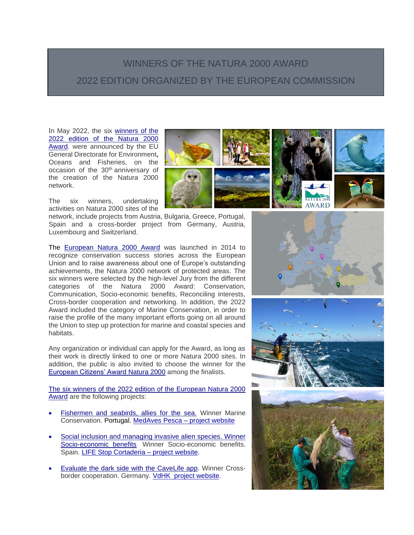## WINNERS OF THE NATURA 2000 AWARD 2022 EDITION ORGANIZED BY THE EUROPEAN COMMISSION

ORGANIZADO POR LA COMISIÓN EUROPEA

In May 2022, the six [winners of the](https://ec.europa.eu/environment/news/natura-2000-awards-eu-recognises-excellence-nature-protection-across-europe-2022-05-19_en)  [2022 edition of the Natura 2000](https://ec.europa.eu/environment/news/natura-2000-awards-eu-recognises-excellence-nature-protection-across-europe-2022-05-19_en)  [Award.](https://ec.europa.eu/environment/news/natura-2000-awards-eu-recognises-excellence-nature-protection-across-europe-2022-05-19_en) were announced by the EU General Directorate for Environment**,** Oceans and Fisheries, on the occasion of the 30th anniversary of the creation of the Natura 2000 network.

The six winners, undertaking activities on Natura 2000 sites of the

network, include projects from Austria, Bulgaria, Greece, Portugal, Spain and a cross-border project from Germany, Austria, Luxembourg and Switzerland.

The [European Natura 2000 Award](http://ec.europa.eu/environment/nature/natura2000/awards/index_en.htm) was launched in 2014 to recognize conservation success stories across the European Union and to raise awareness about one of Europe's outstanding achievements, the Natura 2000 network of protected areas. The six winners were selected by the high-level Jury from the different categories of the Natura 2000 Award: Conservation, Communication, Socio-economic benefits, Reconciling interests, Cross-border cooperation and networking. In addition, the 2022 Award included the category of Marine Conservation, in order to raise the profile of the many important efforts going on all around the Union to step up protection for marine and coastal species and habitats.

Any organization or individual can apply for the Award, as long as their work is directly linked to one or more Natura 2000 sites. In addition, the public is also invited to choose the winner for the [European Citizens' Award Natura 2000](https://ec.europa.eu/environment/nature/natura2000/awards/the-award/european-citizens-award/index_en.htm) among the finalists.

[The six winners of the 2022 edition of the European Natura 2000](https://ec.europa.eu/environment/topics/nature-and-biodiversity/natura-2000-award/current-edition_en)  [Award](https://ec.europa.eu/environment/topics/nature-and-biodiversity/natura-2000-award/current-edition_en) are the following projects:

- [Fishermen and seabirds, allies for the sea.](https://ec.europa.eu/environment/topics/nature-and-biodiversity/natura-2000-award/current-edition/fishermen-and-seabirds-allies-sea_en) Winner Marine Conservation. Portugal. [MedAves Pesca –](https://www.medavespesca.pt/) project website
- [Social inclusion and managing invasive alien species. Winner](https://ec.europa.eu/environment/topics/nature-and-biodiversity/natura-2000-award/current-edition/social-inclusion-and-managing-invasive-alien-species_en)  [Socio-economic benefits.](https://ec.europa.eu/environment/topics/nature-and-biodiversity/natura-2000-award/current-edition/social-inclusion-and-managing-invasive-alien-species_en) Winner Socio-economic benefits. Spain. [LIFE Stop Cortaderia –](http://stopcortaderia.org/language/en/stop-cortaderia-en/) project website.
- **[Evaluate the dark side with the CaveLife app.](https://ec.europa.eu/environment/topics/nature-and-biodiversity/natura-2000-award/current-edition/evaluate-dark-side-cavelife-app_en) Winner Cross-**border cooperation. Germany. [VdHK project website.](https://www.vdhk.de/en/)